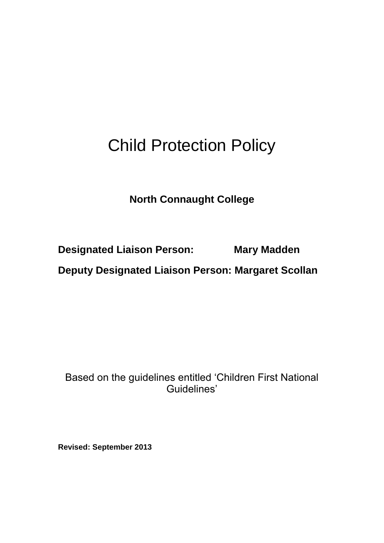# Child Protection Policy

# **North Connaught College**

**Designated Liaison Person: Mary Madden**

**Deputy Designated Liaison Person: Margaret Scollan**

Based on the guidelines entitled 'Children First National Guidelines'

**Revised: September 2013**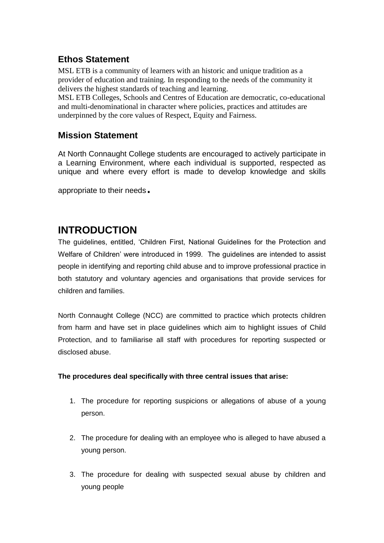# **Ethos Statement**

MSL ETB is a community of learners with an historic and unique tradition as a provider of education and training. In responding to the needs of the community it delivers the highest standards of teaching and learning.

MSL ETB Colleges, Schools and Centres of Education are democratic, co-educational and multi-denominational in character where policies, practices and attitudes are underpinned by the core values of Respect, Equity and Fairness.

### **Mission Statement**

At North Connaught College students are encouraged to actively participate in a Learning Environment, where each individual is supported, respected as unique and where every effort is made to develop knowledge and skills

appropriate to their needs.

# **INTRODUCTION**

The guidelines, entitled, 'Children First, National Guidelines for the Protection and Welfare of Children' were introduced in 1999. The guidelines are intended to assist people in identifying and reporting child abuse and to improve professional practice in both statutory and voluntary agencies and organisations that provide services for children and families.

North Connaught College (NCC) are committed to practice which protects children from harm and have set in place guidelines which aim to highlight issues of Child Protection, and to familiarise all staff with procedures for reporting suspected or disclosed abuse.

#### **The procedures deal specifically with three central issues that arise:**

- 1. The procedure for reporting suspicions or allegations of abuse of a young person.
- 2. The procedure for dealing with an employee who is alleged to have abused a young person.
- 3. The procedure for dealing with suspected sexual abuse by children and young people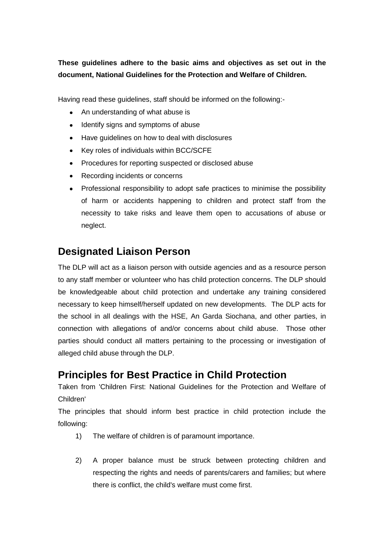### **These guidelines adhere to the basic aims and objectives as set out in the document, National Guidelines for the Protection and Welfare of Children.**

Having read these guidelines, staff should be informed on the following:-

- An understanding of what abuse is
- $\bullet$ Identify signs and symptoms of abuse
- Have guidelines on how to deal with disclosures  $\bullet$
- Key roles of individuals within BCC/SCFE
- Procedures for reporting suspected or disclosed abuse  $\bullet$
- Recording incidents or concerns
- Professional responsibility to adopt safe practices to minimise the possibility of harm or accidents happening to children and protect staff from the necessity to take risks and leave them open to accusations of abuse or neglect.

# **Designated Liaison Person**

The DLP will act as a liaison person with outside agencies and as a resource person to any staff member or volunteer who has child protection concerns. The DLP should be knowledgeable about child protection and undertake any training considered necessary to keep himself/herself updated on new developments. The DLP acts for the school in all dealings with the HSE, An Garda Siochana, and other parties, in connection with allegations of and/or concerns about child abuse. Those other parties should conduct all matters pertaining to the processing or investigation of alleged child abuse through the DLP.

# **Principles for Best Practice in Child Protection**

Taken from 'Children First: National Guidelines for the Protection and Welfare of Children'

The principles that should inform best practice in child protection include the following:

- 1) The welfare of children is of paramount importance.
- 2) A proper balance must be struck between protecting children and respecting the rights and needs of parents/carers and families; but where there is conflict, the child's welfare must come first.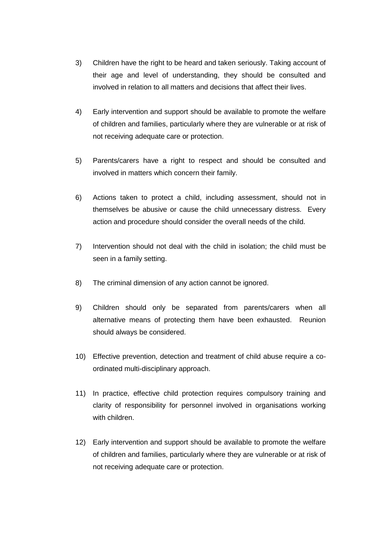- 3) Children have the right to be heard and taken seriously. Taking account of their age and level of understanding, they should be consulted and involved in relation to all matters and decisions that affect their lives.
- 4) Early intervention and support should be available to promote the welfare of children and families, particularly where they are vulnerable or at risk of not receiving adequate care or protection.
- 5) Parents/carers have a right to respect and should be consulted and involved in matters which concern their family.
- 6) Actions taken to protect a child, including assessment, should not in themselves be abusive or cause the child unnecessary distress. Every action and procedure should consider the overall needs of the child.
- 7) Intervention should not deal with the child in isolation; the child must be seen in a family setting.
- 8) The criminal dimension of any action cannot be ignored.
- 9) Children should only be separated from parents/carers when all alternative means of protecting them have been exhausted. Reunion should always be considered.
- 10) Effective prevention, detection and treatment of child abuse require a coordinated multi-disciplinary approach.
- 11) In practice, effective child protection requires compulsory training and clarity of responsibility for personnel involved in organisations working with children.
- 12) Early intervention and support should be available to promote the welfare of children and families, particularly where they are vulnerable or at risk of not receiving adequate care or protection.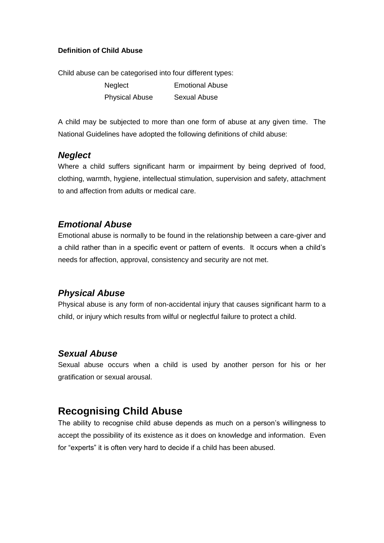#### **Definition of Child Abuse**

Child abuse can be categorised into four different types:

Neglect **Emotional Abuse** Physical Abuse Sexual Abuse

A child may be subjected to more than one form of abuse at any given time. The National Guidelines have adopted the following definitions of child abuse:

### *Neglect*

Where a child suffers significant harm or impairment by being deprived of food, clothing, warmth, hygiene, intellectual stimulation, supervision and safety, attachment to and affection from adults or medical care.

### *Emotional Abuse*

Emotional abuse is normally to be found in the relationship between a care-giver and a child rather than in a specific event or pattern of events. It occurs when a child's needs for affection, approval, consistency and security are not met.

### *Physical Abuse*

Physical abuse is any form of non-accidental injury that causes significant harm to a child, or injury which results from wilful or neglectful failure to protect a child.

### *Sexual Abuse*

Sexual abuse occurs when a child is used by another person for his or her gratification or sexual arousal.

# **Recognising Child Abuse**

The ability to recognise child abuse depends as much on a person's willingness to accept the possibility of its existence as it does on knowledge and information. Even for "experts" it is often very hard to decide if a child has been abused.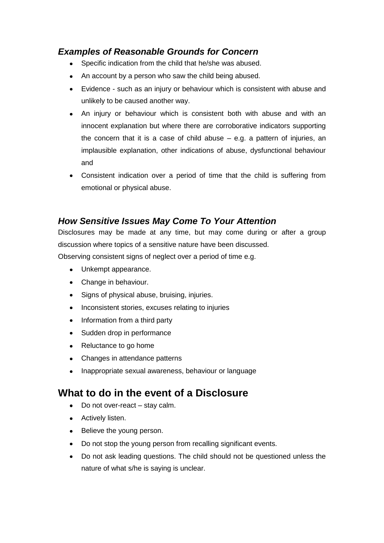## *Examples of Reasonable Grounds for Concern*

- Specific indication from the child that he/she was abused.  $\bullet$
- An account by a person who saw the child being abused.  $\bullet$
- Evidence such as an injury or behaviour which is consistent with abuse and unlikely to be caused another way.
- An injury or behaviour which is consistent both with abuse and with an innocent explanation but where there are corroborative indicators supporting the concern that it is a case of child abuse – e.g. a pattern of injuries, an implausible explanation, other indications of abuse, dysfunctional behaviour and
- Consistent indication over a period of time that the child is suffering from emotional or physical abuse.

## *How Sensitive Issues May Come To Your Attention*

Disclosures may be made at any time, but may come during or after a group discussion where topics of a sensitive nature have been discussed.

Observing consistent signs of neglect over a period of time e.g.

- Unkempt appearance.  $\bullet$
- Change in behaviour.
- Signs of physical abuse, bruising, injuries.  $\bullet$
- $\bullet$ Inconsistent stories, excuses relating to injuries
- Information from a third party
- Sudden drop in performance  $\bullet$
- $\bullet$ Reluctance to go home
- $\bullet$ Changes in attendance patterns
- Inappropriate sexual awareness, behaviour or language

# **What to do in the event of a Disclosure**

- $\bullet$ Do not over-react – stay calm.
- Actively listen.
- $\bullet$ Believe the young person.
- $\bullet$ Do not stop the young person from recalling significant events.
- Do not ask leading questions. The child should not be questioned unless the nature of what s/he is saying is unclear.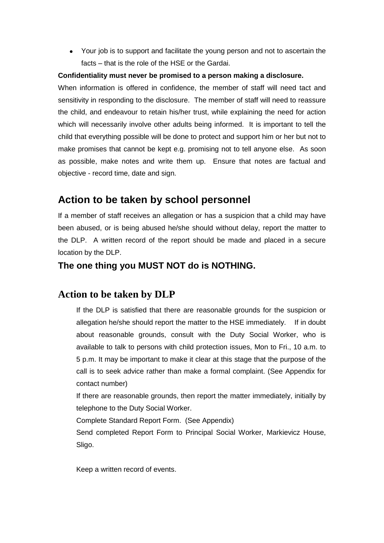Your job is to support and facilitate the young person and not to ascertain the facts – that is the role of the HSE or the Gardai.

#### **Confidentiality must never be promised to a person making a disclosure.**

When information is offered in confidence, the member of staff will need tact and sensitivity in responding to the disclosure. The member of staff will need to reassure the child, and endeavour to retain his/her trust, while explaining the need for action which will necessarily involve other adults being informed. It is important to tell the child that everything possible will be done to protect and support him or her but not to make promises that cannot be kept e.g. promising not to tell anyone else. As soon as possible, make notes and write them up. Ensure that notes are factual and objective - record time, date and sign.

# **Action to be taken by school personnel**

If a member of staff receives an allegation or has a suspicion that a child may have been abused, or is being abused he/she should without delay, report the matter to the DLP. A written record of the report should be made and placed in a secure location by the DLP.

### **The one thing you MUST NOT do is NOTHING.**

## **Action to be taken by DLP**

If the DLP is satisfied that there are reasonable grounds for the suspicion or allegation he/she should report the matter to the HSE immediately. If in doubt about reasonable grounds, consult with the Duty Social Worker, who is available to talk to persons with child protection issues, Mon to Fri., 10 a.m. to 5 p.m. It may be important to make it clear at this stage that the purpose of the call is to seek advice rather than make a formal complaint. (See Appendix for contact number)

If there are reasonable grounds, then report the matter immediately, initially by telephone to the Duty Social Worker.

Complete Standard Report Form. (See Appendix)

Send completed Report Form to Principal Social Worker, Markievicz House, Sligo.

Keep a written record of events.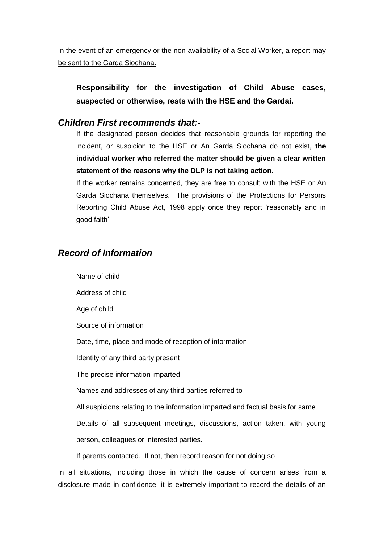In the event of an emergency or the non-availability of a Social Worker, a report may be sent to the Garda Siochana.

**Responsibility for the investigation of Child Abuse cases, suspected or otherwise, rests with the HSE and the Gardaí.**

### *Children First recommends that:-*

If the designated person decides that reasonable grounds for reporting the incident, or suspicion to the HSE or An Garda Siochana do not exist, **the individual worker who referred the matter should be given a clear written statement of the reasons why the DLP is not taking action**.

If the worker remains concerned, they are free to consult with the HSE or An Garda Siochana themselves. The provisions of the Protections for Persons Reporting Child Abuse Act, 1998 apply once they report 'reasonably and in good faith'.

### *Record of Information*

Name of child Address of child Age of child Source of information Date, time, place and mode of reception of information Identity of any third party present The precise information imparted Names and addresses of any third parties referred to All suspicions relating to the information imparted and factual basis for same Details of all subsequent meetings, discussions, action taken, with young person, colleagues or interested parties.

If parents contacted. If not, then record reason for not doing so

In all situations, including those in which the cause of concern arises from a disclosure made in confidence, it is extremely important to record the details of an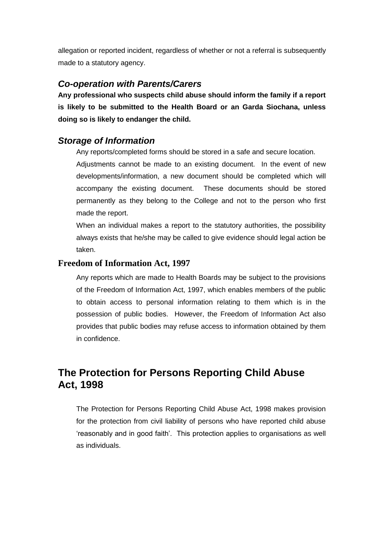allegation or reported incident, regardless of whether or not a referral is subsequently made to a statutory agency.

### *Co-operation with Parents/Carers*

**Any professional who suspects child abuse should inform the family if a report is likely to be submitted to the Health Board or an Garda Siochana, unless doing so is likely to endanger the child.**

### *Storage of Information*

Any reports/completed forms should be stored in a safe and secure location.

Adjustments cannot be made to an existing document. In the event of new developments/information, a new document should be completed which will accompany the existing document. These documents should be stored permanently as they belong to the College and not to the person who first made the report.

When an individual makes a report to the statutory authorities, the possibility always exists that he/she may be called to give evidence should legal action be taken.

#### **Freedom of Information Act, 1997**

Any reports which are made to Health Boards may be subject to the provisions of the Freedom of Information Act, 1997, which enables members of the public to obtain access to personal information relating to them which is in the possession of public bodies. However, the Freedom of Information Act also provides that public bodies may refuse access to information obtained by them in confidence.

# **The Protection for Persons Reporting Child Abuse Act, 1998**

The Protection for Persons Reporting Child Abuse Act, 1998 makes provision for the protection from civil liability of persons who have reported child abuse 'reasonably and in good faith'. This protection applies to organisations as well as individuals.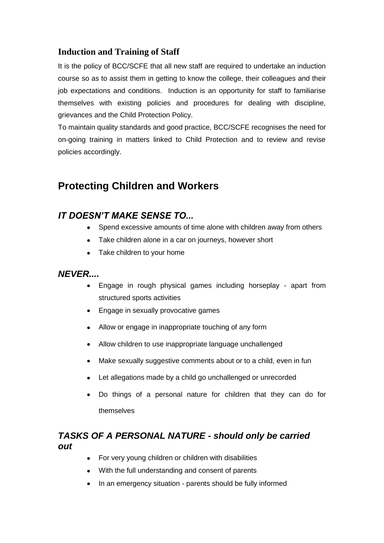### **Induction and Training of Staff**

It is the policy of BCC/SCFE that all new staff are required to undertake an induction course so as to assist them in getting to know the college, their colleagues and their job expectations and conditions. Induction is an opportunity for staff to familiarise themselves with existing policies and procedures for dealing with discipline, grievances and the Child Protection Policy.

To maintain quality standards and good practice, BCC/SCFE recognises the need for on-going training in matters linked to Child Protection and to review and revise policies accordingly.

# **Protecting Children and Workers**

### *IT DOESN'T MAKE SENSE TO...*

- Spend excessive amounts of time alone with children away from others
- Take children alone in a car on journeys, however short
- Take children to your home

### *NEVER....*

- Engage in rough physical games including horseplay apart from structured sports activities
- Engage in sexually provocative games
- Allow or engage in inappropriate touching of any form
- Allow children to use inappropriate language unchallenged
- Make sexually suggestive comments about or to a child, even in fun
- Let allegations made by a child go unchallenged or unrecorded
- Do things of a personal nature for children that they can do for themselves

### *TASKS OF A PERSONAL NATURE - should only be carried out*

- For very young children or children with disabilities
- With the full understanding and consent of parents
- In an emergency situation parents should be fully informed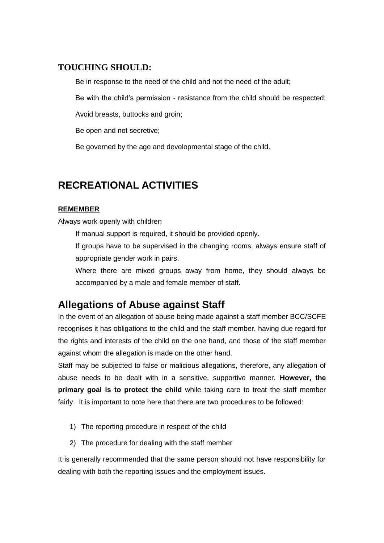### **TOUCHING SHOULD:**

Be in response to the need of the child and not the need of the adult;

Be with the child's permission - resistance from the child should be respected;

Avoid breasts, buttocks and groin;

Be open and not secretive;

Be governed by the age and developmental stage of the child.

# **RECREATIONAL ACTIVITIES**

### **REMEMBER**

Always work openly with children

If manual support is required, it should be provided openly.

If groups have to be supervised in the changing rooms, always ensure staff of appropriate gender work in pairs.

Where there are mixed groups away from home, they should always be accompanied by a male and female member of staff.

# **Allegations of Abuse against Staff**

In the event of an allegation of abuse being made against a staff member BCC/SCFE recognises it has obligations to the child and the staff member, having due regard for the rights and interests of the child on the one hand, and those of the staff member against whom the allegation is made on the other hand.

Staff may be subjected to false or malicious allegations, therefore, any allegation of abuse needs to be dealt with in a sensitive, supportive manner. **However, the primary goal is to protect the child** while taking care to treat the staff member fairly. It is important to note here that there are two procedures to be followed:

- 1) The reporting procedure in respect of the child
- 2) The procedure for dealing with the staff member

It is generally recommended that the same person should not have responsibility for dealing with both the reporting issues and the employment issues.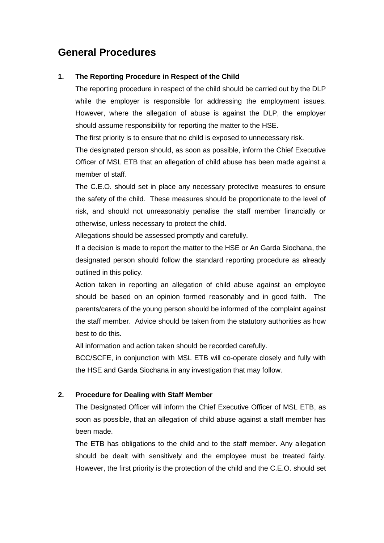# **General Procedures**

#### **1. The Reporting Procedure in Respect of the Child**

The reporting procedure in respect of the child should be carried out by the DLP while the employer is responsible for addressing the employment issues. However, where the allegation of abuse is against the DLP, the employer should assume responsibility for reporting the matter to the HSE.

The first priority is to ensure that no child is exposed to unnecessary risk.

The designated person should, as soon as possible, inform the Chief Executive Officer of MSL ETB that an allegation of child abuse has been made against a member of staff.

The C.E.O. should set in place any necessary protective measures to ensure the safety of the child. These measures should be proportionate to the level of risk, and should not unreasonably penalise the staff member financially or otherwise, unless necessary to protect the child.

Allegations should be assessed promptly and carefully.

If a decision is made to report the matter to the HSE or An Garda Siochana, the designated person should follow the standard reporting procedure as already outlined in this policy.

Action taken in reporting an allegation of child abuse against an employee should be based on an opinion formed reasonably and in good faith. The parents/carers of the young person should be informed of the complaint against the staff member. Advice should be taken from the statutory authorities as how best to do this.

All information and action taken should be recorded carefully.

BCC/SCFE, in conjunction with MSL ETB will co-operate closely and fully with the HSE and Garda Siochana in any investigation that may follow.

#### **2. Procedure for Dealing with Staff Member**

The Designated Officer will inform the Chief Executive Officer of MSL ETB, as soon as possible, that an allegation of child abuse against a staff member has been made.

The ETB has obligations to the child and to the staff member. Any allegation should be dealt with sensitively and the employee must be treated fairly. However, the first priority is the protection of the child and the C.E.O. should set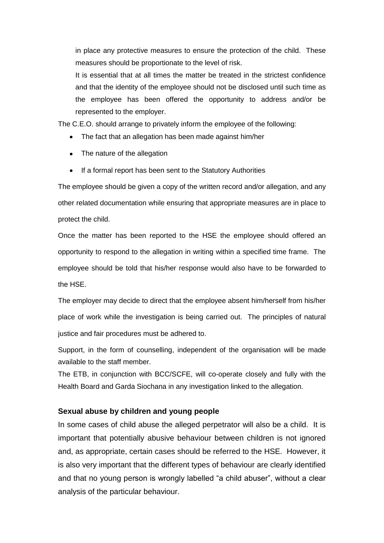in place any protective measures to ensure the protection of the child. These measures should be proportionate to the level of risk.

It is essential that at all times the matter be treated in the strictest confidence and that the identity of the employee should not be disclosed until such time as the employee has been offered the opportunity to address and/or be represented to the employer.

The C.E.O. should arrange to privately inform the employee of the following:

- The fact that an allegation has been made against him/her
- The nature of the allegation
- If a formal report has been sent to the Statutory Authorities

The employee should be given a copy of the written record and/or allegation, and any other related documentation while ensuring that appropriate measures are in place to protect the child.

Once the matter has been reported to the HSE the employee should offered an opportunity to respond to the allegation in writing within a specified time frame. The employee should be told that his/her response would also have to be forwarded to the HSE.

The employer may decide to direct that the employee absent him/herself from his/her place of work while the investigation is being carried out. The principles of natural justice and fair procedures must be adhered to.

Support, in the form of counselling, independent of the organisation will be made available to the staff member.

The ETB, in conjunction with BCC/SCFE, will co-operate closely and fully with the Health Board and Garda Siochana in any investigation linked to the allegation.

#### **Sexual abuse by children and young people**

In some cases of child abuse the alleged perpetrator will also be a child. It is important that potentially abusive behaviour between children is not ignored and, as appropriate, certain cases should be referred to the HSE. However, it is also very important that the different types of behaviour are clearly identified and that no young person is wrongly labelled "a child abuser", without a clear analysis of the particular behaviour.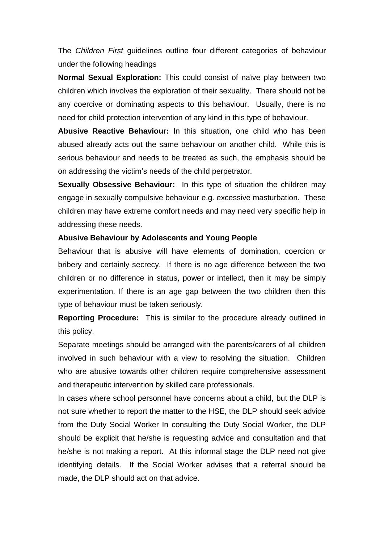The *Children First* guidelines outline four different categories of behaviour under the following headings

**Normal Sexual Exploration:** This could consist of naïve play between two children which involves the exploration of their sexuality. There should not be any coercive or dominating aspects to this behaviour. Usually, there is no need for child protection intervention of any kind in this type of behaviour.

**Abusive Reactive Behaviour:** In this situation, one child who has been abused already acts out the same behaviour on another child. While this is serious behaviour and needs to be treated as such, the emphasis should be on addressing the victim's needs of the child perpetrator.

**Sexually Obsessive Behaviour:** In this type of situation the children may engage in sexually compulsive behaviour e.g. excessive masturbation. These children may have extreme comfort needs and may need very specific help in addressing these needs.

#### **Abusive Behaviour by Adolescents and Young People**

Behaviour that is abusive will have elements of domination, coercion or bribery and certainly secrecy. If there is no age difference between the two children or no difference in status, power or intellect, then it may be simply experimentation. If there is an age gap between the two children then this type of behaviour must be taken seriously.

**Reporting Procedure:** This is similar to the procedure already outlined in this policy.

Separate meetings should be arranged with the parents/carers of all children involved in such behaviour with a view to resolving the situation. Children who are abusive towards other children require comprehensive assessment and therapeutic intervention by skilled care professionals.

In cases where school personnel have concerns about a child, but the DLP is not sure whether to report the matter to the HSE, the DLP should seek advice from the Duty Social Worker In consulting the Duty Social Worker, the DLP should be explicit that he/she is requesting advice and consultation and that he/she is not making a report. At this informal stage the DLP need not give identifying details. If the Social Worker advises that a referral should be made, the DLP should act on that advice.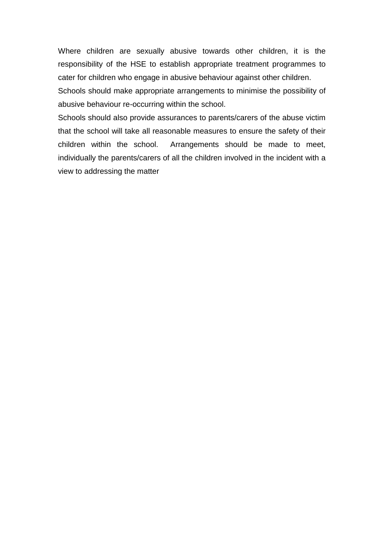Where children are sexually abusive towards other children, it is the responsibility of the HSE to establish appropriate treatment programmes to cater for children who engage in abusive behaviour against other children.

Schools should make appropriate arrangements to minimise the possibility of abusive behaviour re-occurring within the school.

Schools should also provide assurances to parents/carers of the abuse victim that the school will take all reasonable measures to ensure the safety of their children within the school. Arrangements should be made to meet, individually the parents/carers of all the children involved in the incident with a view to addressing the matter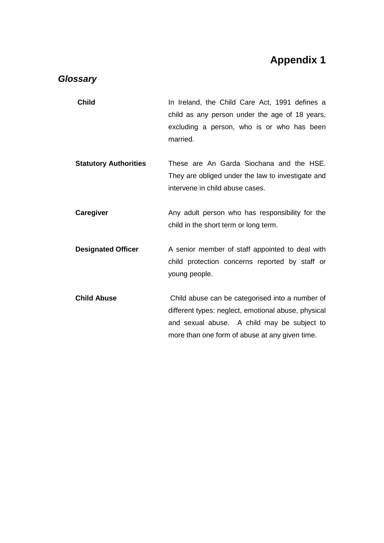# **Appendix 1**

### *Glossary*

- **Child Child** In Ireland, the Child Care Act, 1991 defines a child as any person under the age of 18 years, excluding a person, who is or who has been married.
- **Statutory Authorities** These are An Garda Siochana and the HSE. They are obliged under the law to investigate and intervene in child abuse cases.
- **Caregiver Caregiver** Any adult person who has responsibility for the child in the short term or long term.
- **Designated Officer** A senior member of staff appointed to deal with child protection concerns reported by staff or young people.
- **Child Abuse** Child abuse can be categorised into a number of different types: neglect, emotional abuse, physical and sexual abuse. A child may be subject to more than one form of abuse at any given time.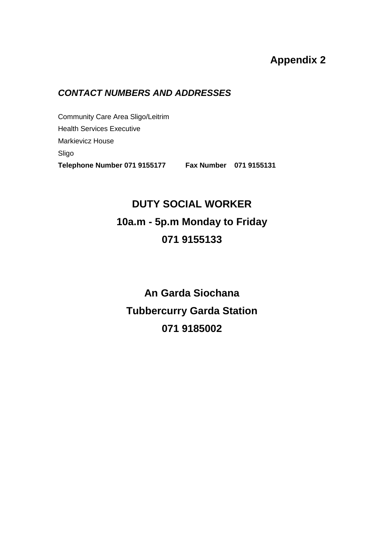# **Appendix 2**

## *CONTACT NUMBERS AND ADDRESSES*

Community Care Area Sligo/Leitrim Health Services Executive Markievicz House Sligo **Telephone Number 071 9155177 Fax Number 071 9155131**

# **DUTY SOCIAL WORKER 10a.m - 5p.m Monday to Friday 071 9155133**

**An Garda Siochana Tubbercurry Garda Station 071 9185002**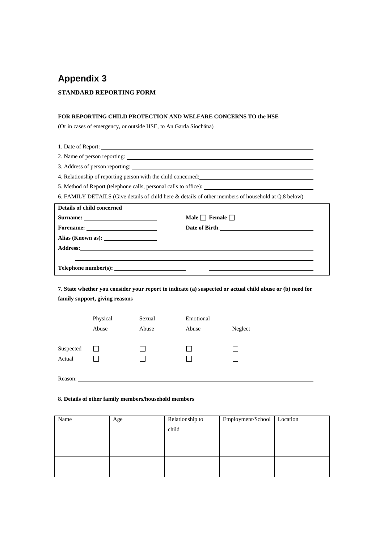# **Appendix 3 STANDARD REPORTING FORM**

#### **FOR REPORTING CHILD PROTECTION AND WELFARE CONCERNS TO the HSE**

(Or in cases of emergency, or outside HSE, to An Garda Síochána)

1. Date of Report: 2. Name of person reporting: 3. Address of person reporting: 4. Relationship of reporting person with the child concerned: 5. Method of Report (telephone calls, personal calls to office): 6. FAMILY DETAILS (Give details of child here & details of other members of household at Q.8 below) **Details of child concerned Surname:** <u>**Male Female Male Female D**</u> **Forename: Date of Birth**: **Date of Birth**: **Alias (Known as): Address: Telephone number(s):**   $\sim$ 

**7. State whether you consider your report to indicate (a) suspected or actual child abuse or (b) need for family support, giving reasons**

|                     | Physical | Sexual | Emotional |         |
|---------------------|----------|--------|-----------|---------|
|                     | Abuse    | Abuse  | Abuse     | Neglect |
| Suspected<br>Actual | l 1      | l.     |           |         |
| Reason:             |          |        |           |         |

#### **8. Details of other family members/household members**

| Name | Age | Relationship to | Employment/School | Location |
|------|-----|-----------------|-------------------|----------|
|      |     | child           |                   |          |
|      |     |                 |                   |          |
|      |     |                 |                   |          |
|      |     |                 |                   |          |
|      |     |                 |                   |          |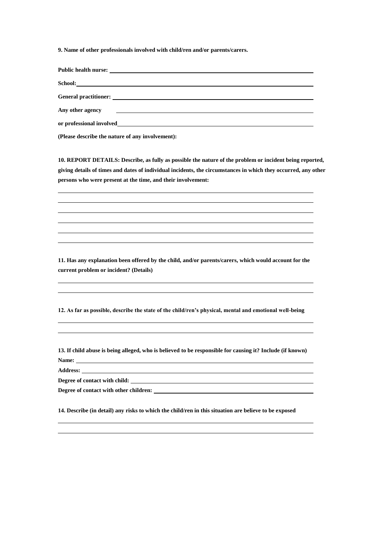**9. Name of other professionals involved with child/ren and/or parents/carers.**

**Public health nurse:** 

**School:**

**General practitioner:** 

**Any other agency** 

**or professional involved**

**(Please describe the nature of any involvement):**

**10. REPORT DETAILS: Describe, as fully as possible the nature of the problem or incident being reported, giving details of times and dates of individual incidents, the circumstances in which they occurred, any other persons who were present at the time, and their involvement:**

**11. Has any explanation been offered by the child, and/or parents/carers, which would account for the current problem or incident? (Details)**

**12. As far as possible, describe the state of the child/ren's physical, mental and emotional well-being**

**13. If child abuse is being alleged, who is believed to be responsible for causing it? Include (if known) Name:** 

**Address:** 

**Degree of contact with child:**

**Degree of contact with other children:** 

**14. Describe (in detail) any risks to which the child/ren in this situation are believe to be exposed**